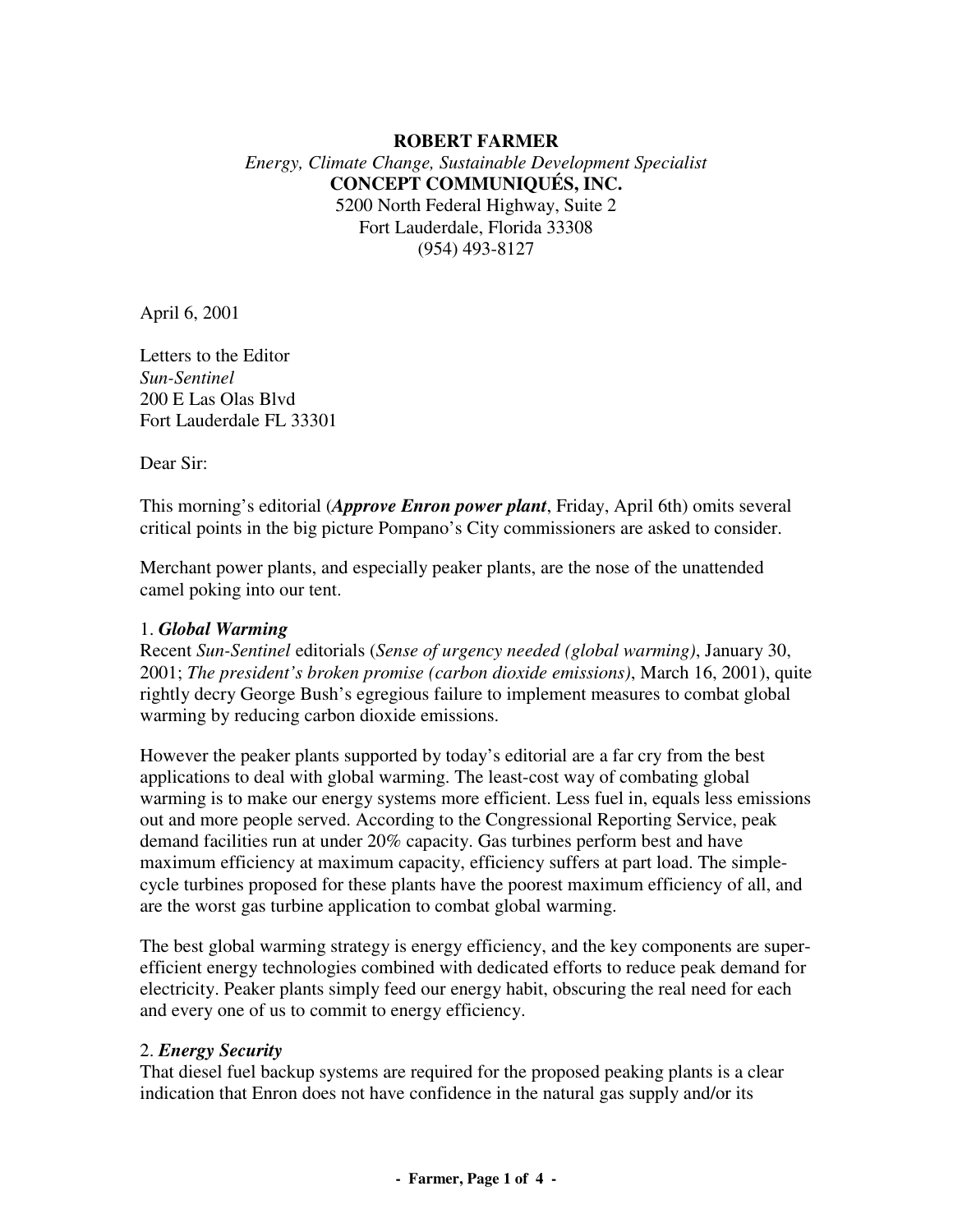## **ROBERT FARMER** *Energy, Climate Change, Sustainable Development Specialist* **CONCEPT COMMUNIQUÉS, INC.** 5200 North Federal Highway, Suite 2 Fort Lauderdale, Florida 33308 (954) 493-8127

April 6, 2001

Letters to the Editor *Sun-Sentinel* 200 E Las Olas Blvd Fort Lauderdale FL 33301

Dear Sir:

This morning's editorial (*Approve Enron power plant*, Friday, April 6th) omits several critical points in the big picture Pompano's City commissioners are asked to consider.

Merchant power plants, and especially peaker plants, are the nose of the unattended camel poking into our tent.

#### 1. *Global Warming*

Recent *Sun-Sentinel* editorials (*Sense of urgency needed (global warming)*, January 30, 2001; *The president's broken promise (carbon dioxide emissions)*, March 16, 2001), quite rightly decry George Bush's egregious failure to implement measures to combat global warming by reducing carbon dioxide emissions.

However the peaker plants supported by today's editorial are a far cry from the best applications to deal with global warming. The least-cost way of combating global warming is to make our energy systems more efficient. Less fuel in, equals less emissions out and more people served. According to the Congressional Reporting Service, peak demand facilities run at under 20% capacity. Gas turbines perform best and have maximum efficiency at maximum capacity, efficiency suffers at part load. The simplecycle turbines proposed for these plants have the poorest maximum efficiency of all, and are the worst gas turbine application to combat global warming.

The best global warming strategy is energy efficiency, and the key components are superefficient energy technologies combined with dedicated efforts to reduce peak demand for electricity. Peaker plants simply feed our energy habit, obscuring the real need for each and every one of us to commit to energy efficiency.

#### 2. *Energy Security*

That diesel fuel backup systems are required for the proposed peaking plants is a clear indication that Enron does not have confidence in the natural gas supply and/or its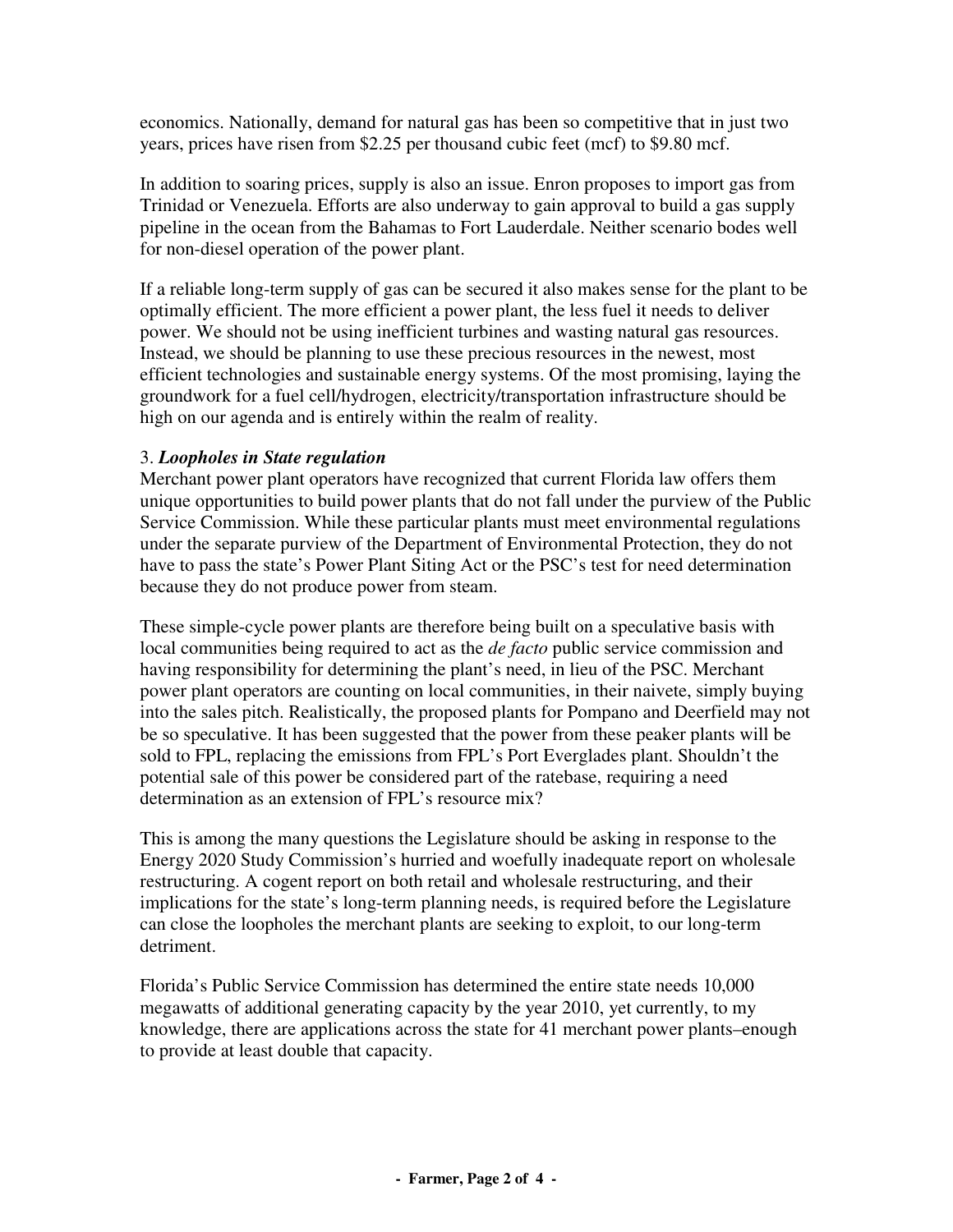economics. Nationally, demand for natural gas has been so competitive that in just two years, prices have risen from \$2.25 per thousand cubic feet (mcf) to \$9.80 mcf.

In addition to soaring prices, supply is also an issue. Enron proposes to import gas from Trinidad or Venezuela. Efforts are also underway to gain approval to build a gas supply pipeline in the ocean from the Bahamas to Fort Lauderdale. Neither scenario bodes well for non-diesel operation of the power plant.

If a reliable long-term supply of gas can be secured it also makes sense for the plant to be optimally efficient. The more efficient a power plant, the less fuel it needs to deliver power. We should not be using inefficient turbines and wasting natural gas resources. Instead, we should be planning to use these precious resources in the newest, most efficient technologies and sustainable energy systems. Of the most promising, laying the groundwork for a fuel cell/hydrogen, electricity/transportation infrastructure should be high on our agenda and is entirely within the realm of reality.

## 3. *Loopholes in State regulation*

Merchant power plant operators have recognized that current Florida law offers them unique opportunities to build power plants that do not fall under the purview of the Public Service Commission. While these particular plants must meet environmental regulations under the separate purview of the Department of Environmental Protection, they do not have to pass the state's Power Plant Siting Act or the PSC's test for need determination because they do not produce power from steam.

These simple-cycle power plants are therefore being built on a speculative basis with local communities being required to act as the *de facto* public service commission and having responsibility for determining the plant's need, in lieu of the PSC. Merchant power plant operators are counting on local communities, in their naivete, simply buying into the sales pitch. Realistically, the proposed plants for Pompano and Deerfield may not be so speculative. It has been suggested that the power from these peaker plants will be sold to FPL, replacing the emissions from FPL's Port Everglades plant. Shouldn't the potential sale of this power be considered part of the ratebase, requiring a need determination as an extension of FPL's resource mix?

This is among the many questions the Legislature should be asking in response to the Energy 2020 Study Commission's hurried and woefully inadequate report on wholesale restructuring. A cogent report on both retail and wholesale restructuring, and their implications for the state's long-term planning needs, is required before the Legislature can close the loopholes the merchant plants are seeking to exploit, to our long-term detriment.

Florida's Public Service Commission has determined the entire state needs 10,000 megawatts of additional generating capacity by the year 2010, yet currently, to my knowledge, there are applications across the state for 41 merchant power plants–enough to provide at least double that capacity.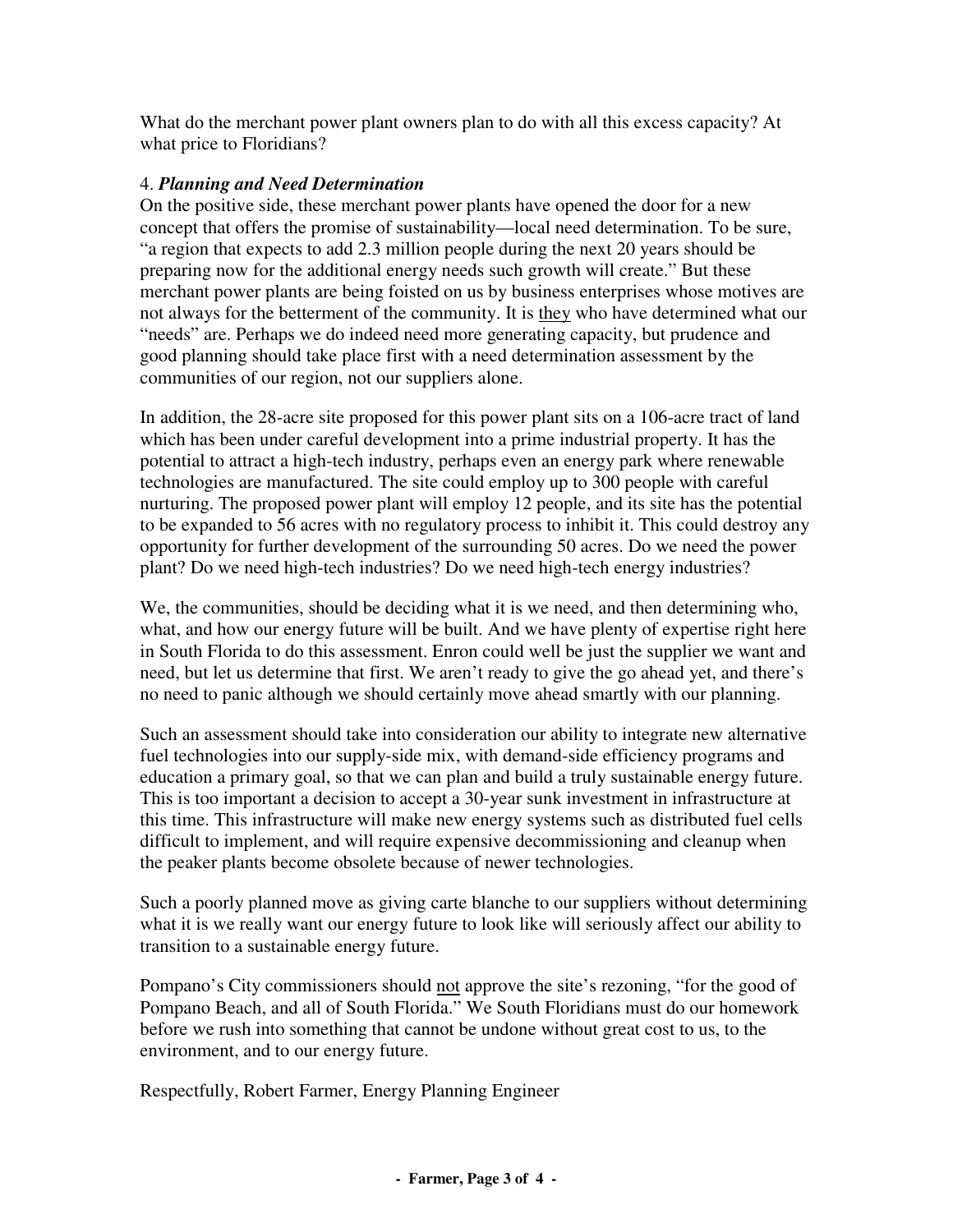What do the merchant power plant owners plan to do with all this excess capacity? At what price to Floridians?

# 4. *Planning and Need Determination*

On the positive side, these merchant power plants have opened the door for a new concept that offers the promise of sustainability—local need determination. To be sure, "a region that expects to add 2.3 million people during the next 20 years should be preparing now for the additional energy needs such growth will create." But these merchant power plants are being foisted on us by business enterprises whose motives are not always for the betterment of the community. It is they who have determined what our "needs" are. Perhaps we do indeed need more generating capacity, but prudence and good planning should take place first with a need determination assessment by the communities of our region, not our suppliers alone.

In addition, the 28-acre site proposed for this power plant sits on a 106-acre tract of land which has been under careful development into a prime industrial property. It has the potential to attract a high-tech industry, perhaps even an energy park where renewable technologies are manufactured. The site could employ up to 300 people with careful nurturing. The proposed power plant will employ 12 people, and its site has the potential to be expanded to 56 acres with no regulatory process to inhibit it. This could destroy any opportunity for further development of the surrounding 50 acres. Do we need the power plant? Do we need high-tech industries? Do we need high-tech energy industries?

We, the communities, should be deciding what it is we need, and then determining who, what, and how our energy future will be built. And we have plenty of expertise right here in South Florida to do this assessment. Enron could well be just the supplier we want and need, but let us determine that first. We aren't ready to give the go ahead yet, and there's no need to panic although we should certainly move ahead smartly with our planning.

Such an assessment should take into consideration our ability to integrate new alternative fuel technologies into our supply-side mix, with demand-side efficiency programs and education a primary goal, so that we can plan and build a truly sustainable energy future. This is too important a decision to accept a 30-year sunk investment in infrastructure at this time. This infrastructure will make new energy systems such as distributed fuel cells difficult to implement, and will require expensive decommissioning and cleanup when the peaker plants become obsolete because of newer technologies.

Such a poorly planned move as giving carte blanche to our suppliers without determining what it is we really want our energy future to look like will seriously affect our ability to transition to a sustainable energy future.

Pompano's City commissioners should not approve the site's rezoning, "for the good of Pompano Beach, and all of South Florida." We South Floridians must do our homework before we rush into something that cannot be undone without great cost to us, to the environment, and to our energy future.

Respectfully, Robert Farmer, Energy Planning Engineer